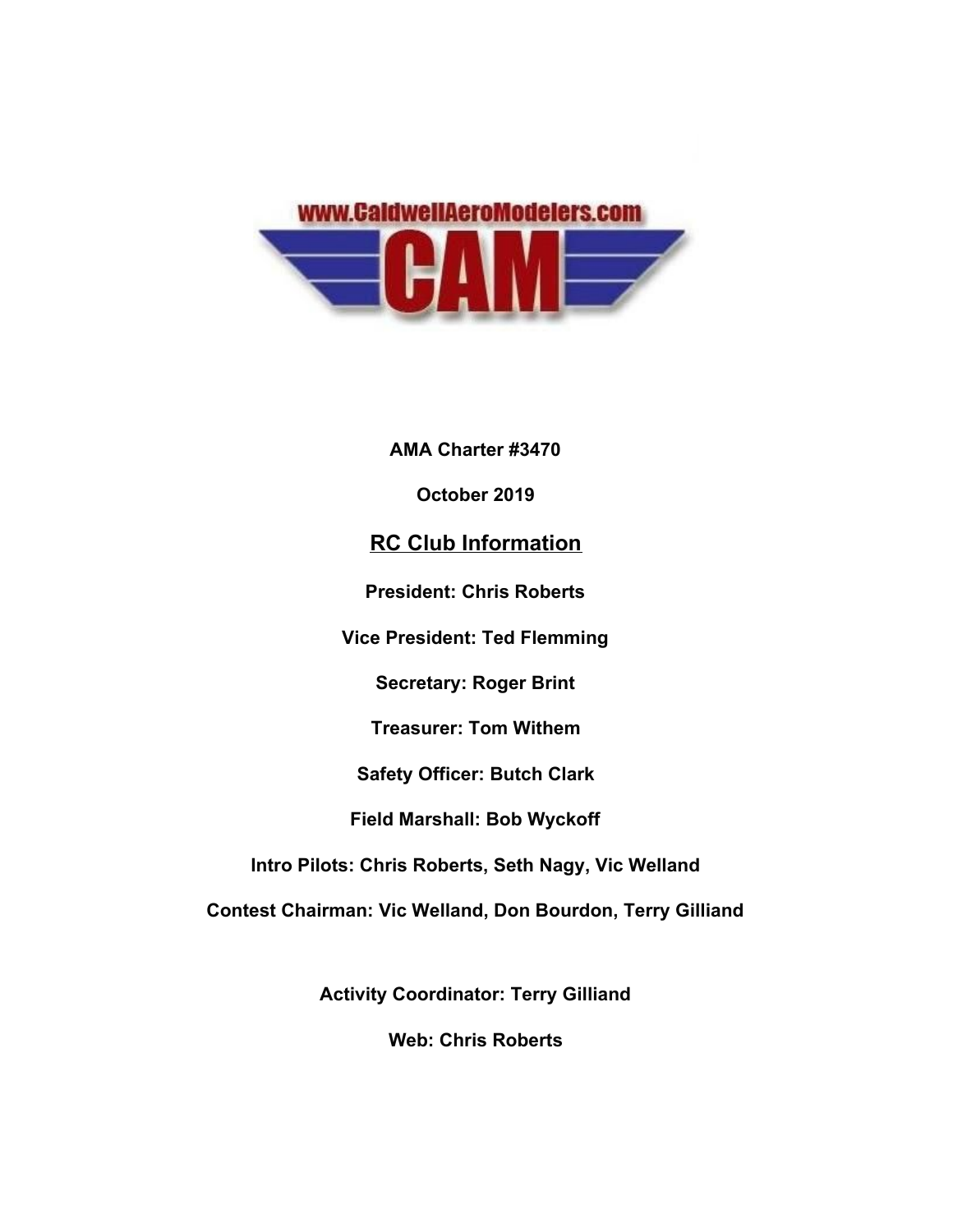

**AMA Charter #3470**

**October 2019**

# **RC Club Information**

**President: Chris Roberts**

**Vice President: Ted Flemming**

**Secretary: Roger Brint**

**Treasurer: Tom Withem**

**Safety Officer: Butch Clark**

**Field Marshall: Bob Wyckoff**

**Intro Pilots: Chris Roberts, Seth Nagy, Vic Welland**

**Contest Chairman: Vic Welland, Don Bourdon, Terry Gilliand**

**Activity Coordinator: Terry Gilliand**

**Web: Chris Roberts**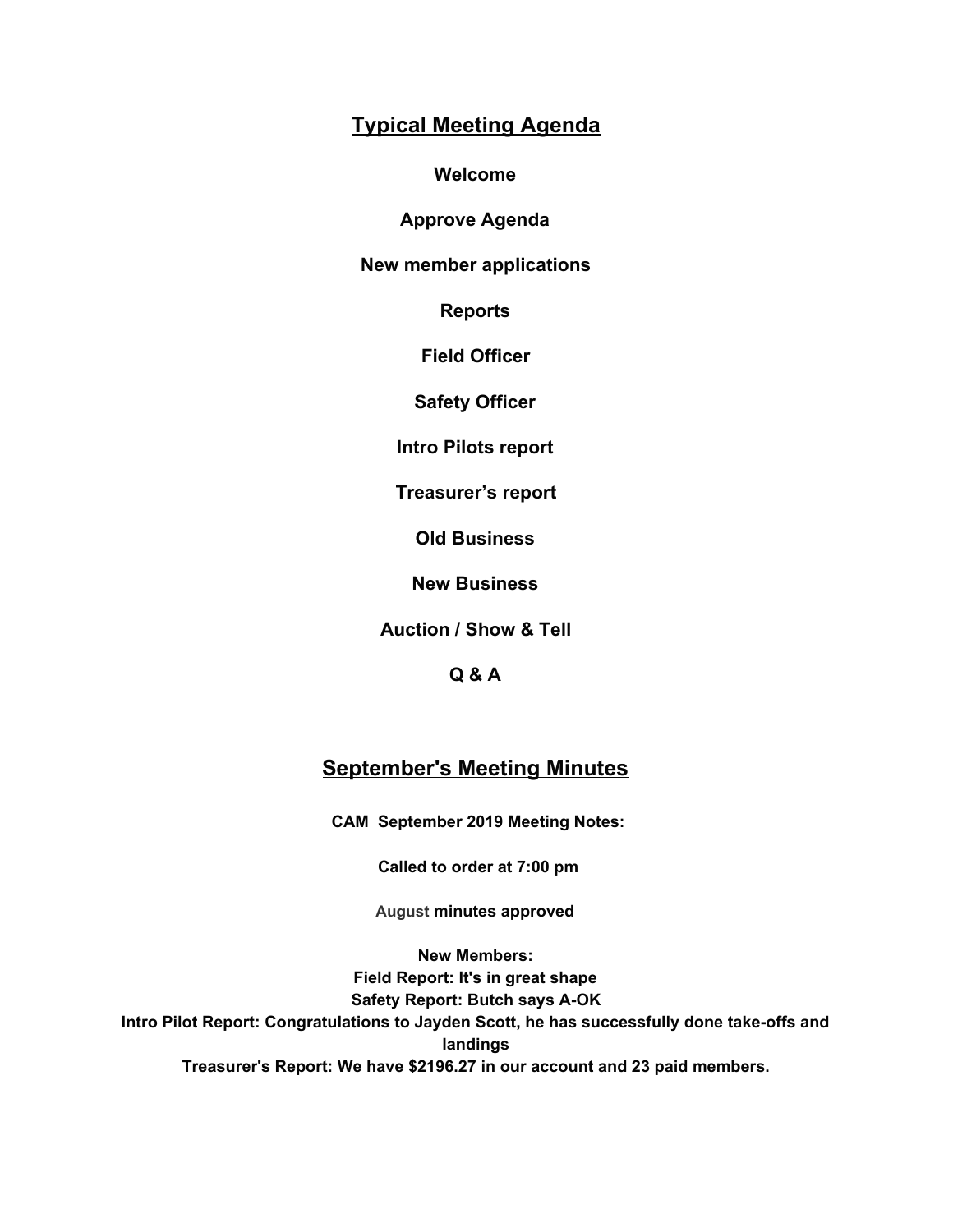# **Typical Meeting Agenda**

**Welcome**

**Approve Agenda**

**New member applications**

**Reports**

**Field Officer**

**Safety Officer**

**Intro Pilots report**

**Treasurer's report**

**Old Business**

**New Business**

**Auction / Show & Tell**

**Q & A**

## **September's Meeting Minutes**

**CAM September 2019 Meeting Notes:**

 **Called to order at 7:00 pm**

**August minutes approved**

**New Members: Field Report: It's in great shape Safety Report: Butch says A-OK Intro Pilot Report: Congratulations to Jayden Scott, he has successfully done take-offs and landings Treasurer's Report: We have \$2196.27 in our account and 23 paid members.**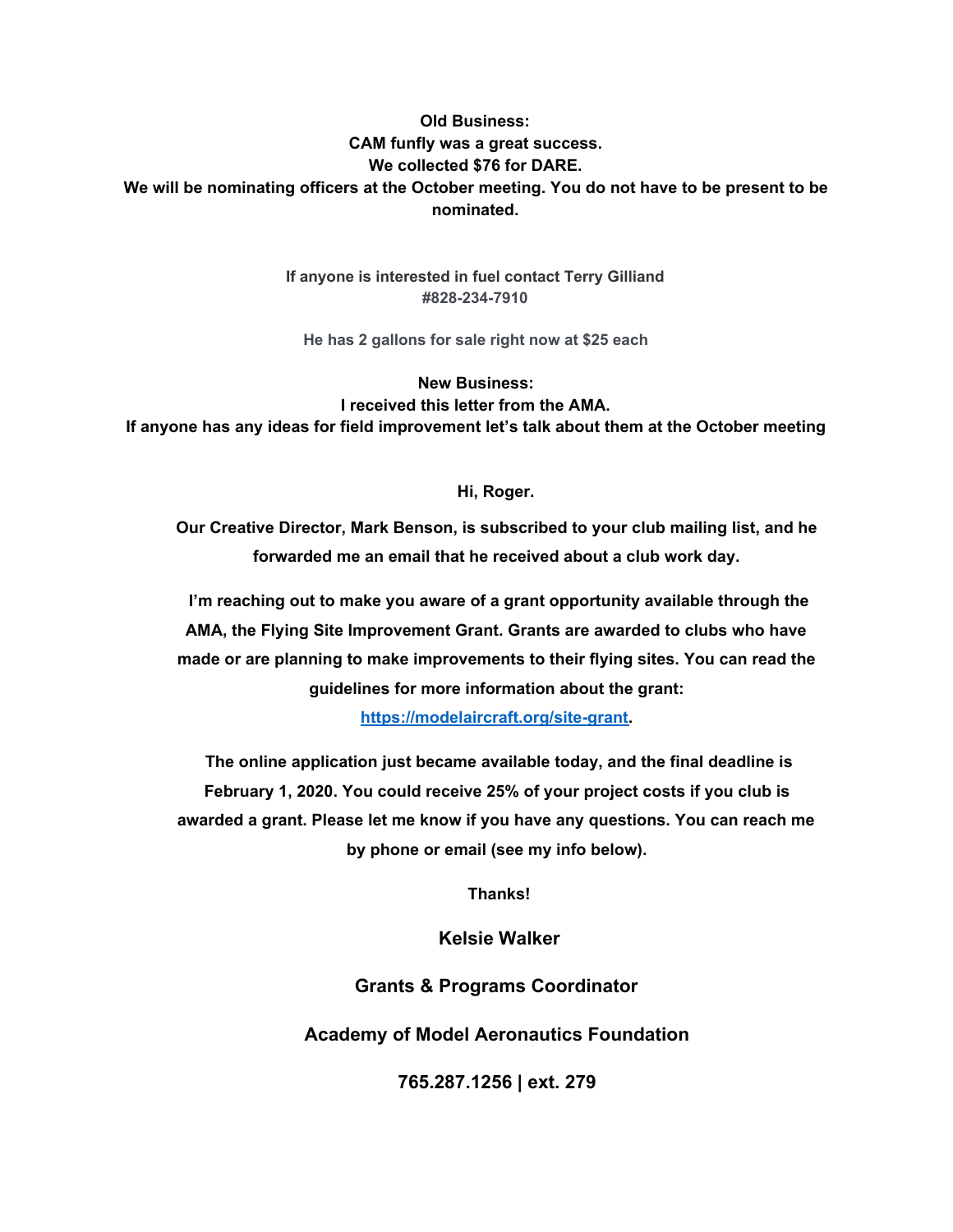### **Old Business: CAM funfly was a great success. We collected \$76 for DARE. We will be nominating officers at the October meeting. You do not have to be present to be nominated.**

**If anyone is interested in fuel contact Terry Gilliand #828-234-7910**

**He has 2 gallons for sale right now at \$25 each**

**New Business: I received this letter from the AMA. If anyone has any ideas for field improvement let's talk about them at the October meeting**

#### **Hi, Roger.**

**Our Creative Director, Mark Benson, is subscribed to your club mailing list, and he forwarded me an email that he received about a club work day.**

 **I'm reaching out to make you aware of a grant opportunity available through the AMA, the Flying Site Improvement Grant. Grants are awarded to clubs who have made or are planning to make improvements to their flying sites. You can read the guidelines for more information about the grant:**

**[https://modelaircraft.org/site-grant.](https://caldwellaeromodelers.us12.list-manage.com/track/click?u=97e8415ef712fa9e1b98d3c10&id=7071dc519a&e=cb68105b5d)**

 **The online application just became available today, and the final deadline is February 1, 2020. You could receive 25% of your project costs if you club is awarded a grant. Please let me know if you have any questions. You can reach me by phone or email (see my info below).**

 **Thanks!**

**Kelsie Walker**

**Grants & Programs Coordinator**

**Academy of Model Aeronautics Foundation**

**765.287.1256 | ext. 279**